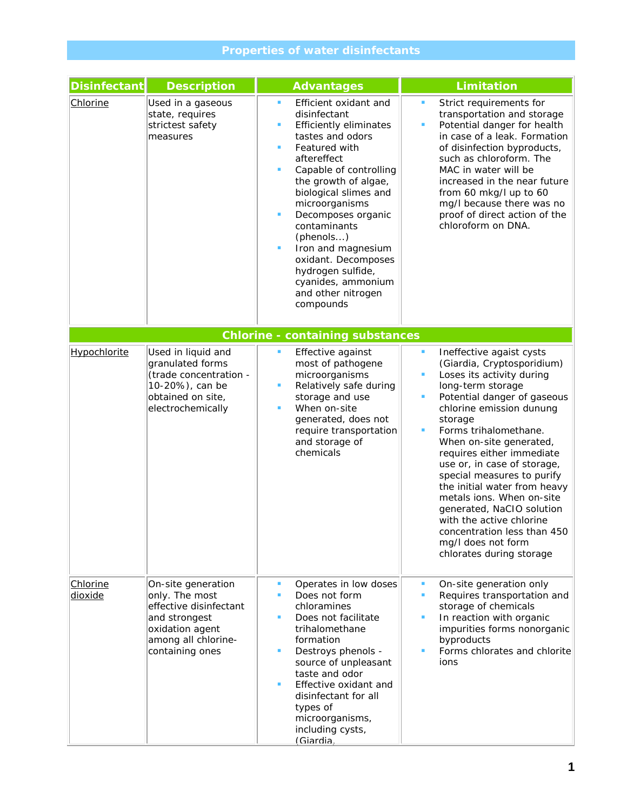## **Properties of water disinfectants**

| <b>Disinfectant</b> | <b>Description</b>                                                                                                                           | <b>Advantages</b>                                                                                                                                                                                                                                                                                                                                                                                                                   | <b>Limitation</b>                                                                                                                                                                                                                                                                                                                                                                                                                                                                                                                                                    |
|---------------------|----------------------------------------------------------------------------------------------------------------------------------------------|-------------------------------------------------------------------------------------------------------------------------------------------------------------------------------------------------------------------------------------------------------------------------------------------------------------------------------------------------------------------------------------------------------------------------------------|----------------------------------------------------------------------------------------------------------------------------------------------------------------------------------------------------------------------------------------------------------------------------------------------------------------------------------------------------------------------------------------------------------------------------------------------------------------------------------------------------------------------------------------------------------------------|
| Chlorine            | Used in a gaseous<br>state, requires<br>strictest safety<br>measures                                                                         | Efficient oxidant and<br>٠<br>disinfectant<br><b>Efficiently eliminates</b><br>٠<br>tastes and odors<br>Featured with<br>٠<br>aftereffect<br>Capable of controlling<br>٠<br>the growth of algae,<br>biological slimes and<br>microorganisms<br>٠<br>Decomposes organic<br>contaminants<br>(phenols)<br>Iron and magnesium<br>٠<br>oxidant. Decomposes<br>hydrogen sulfide,<br>cyanides, ammonium<br>and other nitrogen<br>compounds | Strict requirements for<br>$\blacksquare$<br>transportation and storage<br>Potential danger for health<br>$\blacksquare$<br>in case of a leak. Formation<br>of disinfection byproducts,<br>such as chloroform. The<br>MAC in water will be<br>increased in the near future<br>from 60 mkg/l up to 60<br>mg/I because there was no<br>proof of direct action of the<br>chloroform on DNA.                                                                                                                                                                             |
|                     |                                                                                                                                              | <b>Chlorine - containing substances</b>                                                                                                                                                                                                                                                                                                                                                                                             |                                                                                                                                                                                                                                                                                                                                                                                                                                                                                                                                                                      |
| <b>Hypochlorite</b> | Used in liquid and<br>granulated forms<br>(trade concentration -<br>10-20%), can be<br>obtained on site,<br>electrochemically                | Effective against<br>٠<br>most of pathogene<br>microorganisms<br>Relatively safe during<br>٠<br>storage and use<br>When on-site<br>٠<br>generated, does not<br>require transportation<br>and storage of<br>chemicals                                                                                                                                                                                                                | Ineffective agaist cysts<br>ш<br>(Giardia, Cryptosporidium)<br>Loses its activity during<br>$\blacksquare$<br>long-term storage<br>Potential danger of gaseous<br>٠<br>chlorine emission dunung<br>storage<br>Forms trihalomethane.<br>п<br>When on-site generated,<br>requires either immediate<br>use or, in case of storage,<br>special measures to purify<br>the initial water from heavy<br>metals ions. When on-site<br>generated, NaCIO solution<br>with the active chlorine<br>concentration less than 450<br>mg/I does not form<br>chlorates during storage |
| Chlorine<br>dioxide | On-site generation<br>only. The most<br>effective disinfectant<br>and strongest<br>oxidation agent<br>among all chlorine-<br>containing ones | ٠<br>Operates in low doses<br>Does not form<br>٠<br>chloramines<br>Does not facilitate<br>٠<br>trihalomethane<br>formation<br>Destroys phenols -<br>٠<br>source of unpleasant<br>taste and odor<br>Effective oxidant and<br>٠<br>disinfectant for all<br>types of<br>microorganisms,<br>including cysts,<br>(Giardia,                                                                                                               | On-site generation only<br>٠<br>Requires transportation and<br>٠<br>storage of chemicals<br>$\blacksquare$<br>In reaction with organic<br>impurities forms nonorganic<br>byproducts<br>Forms chlorates and chlorite<br>٠<br>ions                                                                                                                                                                                                                                                                                                                                     |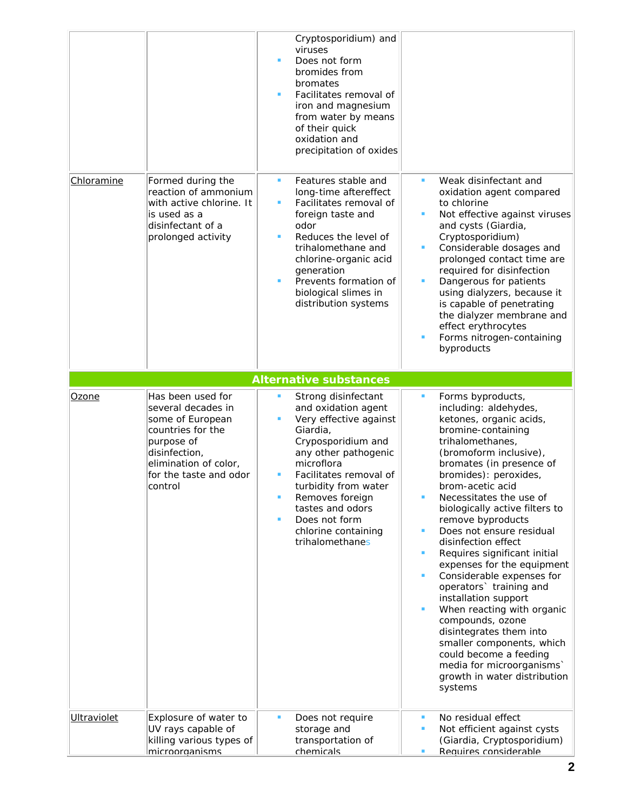|                    |                                                                                                                                                                               | viruses<br>٠<br>bromates<br>п              | Cryptosporidium) and<br>Does not form<br>bromides from<br>Facilitates removal of<br>iron and magnesium<br>from water by means<br>of their quick<br>oxidation and<br>precipitation of oxides                                                                            |                                                                   |                                                                                                                                                                                                                                                                                                                                                                                                                                                                                                                                                                                                                                                                                                                   |
|--------------------|-------------------------------------------------------------------------------------------------------------------------------------------------------------------------------|--------------------------------------------|------------------------------------------------------------------------------------------------------------------------------------------------------------------------------------------------------------------------------------------------------------------------|-------------------------------------------------------------------|-------------------------------------------------------------------------------------------------------------------------------------------------------------------------------------------------------------------------------------------------------------------------------------------------------------------------------------------------------------------------------------------------------------------------------------------------------------------------------------------------------------------------------------------------------------------------------------------------------------------------------------------------------------------------------------------------------------------|
| Chloramine         | Formed during the<br>reaction of ammonium<br>with active chlorine. It<br>is used as a<br>disinfectant of a<br>prolonged activity                                              | ٠<br>٠<br>odor<br>٠<br>٠                   | Features stable and<br>long-time aftereffect<br>Facilitates removal of<br>foreign taste and<br>Reduces the level of<br>trihalomethane and<br>chlorine-organic acid<br>generation<br>Prevents formation of<br>biological slimes in<br>distribution systems              | ٠<br>п<br>٠<br>٠<br>٠                                             | Weak disinfectant and<br>oxidation agent compared<br>to chlorine<br>Not effective against viruses<br>and cysts (Giardia,<br>Cryptosporidium)<br>Considerable dosages and<br>prolonged contact time are<br>required for disinfection<br>Dangerous for patients<br>using dialyzers, because it<br>is capable of penetrating<br>the dialyzer membrane and<br>effect erythrocytes<br>Forms nitrogen-containing<br>byproducts                                                                                                                                                                                                                                                                                          |
|                    |                                                                                                                                                                               |                                            | <b>Alternative substances</b>                                                                                                                                                                                                                                          |                                                                   |                                                                                                                                                                                                                                                                                                                                                                                                                                                                                                                                                                                                                                                                                                                   |
| Ozone              | Has been used for<br>several decades in<br>some of European<br>countries for the<br>purpose of<br>disinfection,<br>elimination of color,<br>for the taste and odor<br>control | ٠<br>٠<br>Giardia,<br>microflora<br>٠<br>٠ | Strong disinfectant<br>and oxidation agent<br>Very effective against<br>Cryposporidium and<br>any other pathogenic<br>Facilitates removal of<br>turbidity from water<br>Removes foreign<br>tastes and odors<br>Does not form<br>chlorine containing<br>trihalomethanes | $\blacksquare$<br>٠<br>٠<br>ш<br>$\blacksquare$<br>$\blacksquare$ | Forms byproducts,<br>including: aldehydes,<br>ketones, organic acids,<br>bromine-containing<br>trihalomethanes,<br>(bromoform inclusive),<br>bromates (in presence of<br>bromides): peroxides,<br>brom-acetic acid<br>Necessitates the use of<br>biologically active filters to<br>remove byproducts<br>Does not ensure residual<br>disinfection effect<br>Requires significant initial<br>expenses for the equipment<br>Considerable expenses for<br>operators' training and<br>installation support<br>When reacting with organic<br>compounds, ozone<br>disintegrates them into<br>smaller components, which<br>could become a feeding<br>media for microorganisms'<br>growth in water distribution<br>systems |
| <b>Ultraviolet</b> | Explosure of water to<br>UV rays capable of<br>killing various types of<br>microorganisms                                                                                     | п<br>chemicals                             | Does not require<br>storage and<br>transportation of                                                                                                                                                                                                                   | ٠<br>п<br>٠                                                       | No residual effect<br>Not efficient against cysts<br>(Giardia, Cryptosporidium)<br>Requires considerable                                                                                                                                                                                                                                                                                                                                                                                                                                                                                                                                                                                                          |